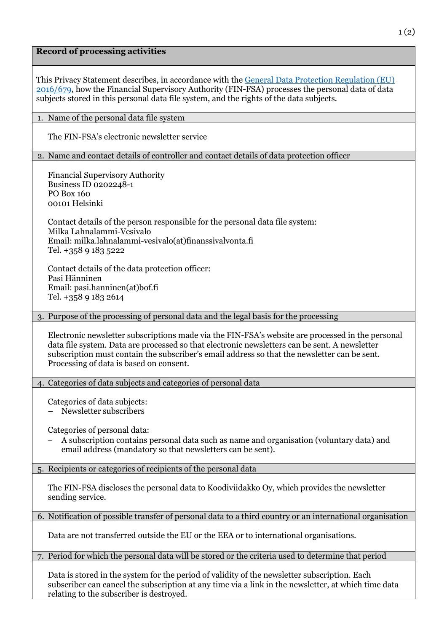#### **Record of processing activities**

This Privacy Statement describes, in accordance with the [General Data Protection Regulation \(EU\)](https://eur-lex.europa.eu/legal-content/EN/TXT/?uri=uriserv:OJ.L_.2016.119.01.0001.01.ENG)  [2016/679,](https://eur-lex.europa.eu/legal-content/EN/TXT/?uri=uriserv:OJ.L_.2016.119.01.0001.01.ENG) how the Financial Supervisory Authority (FIN-FSA) processes the personal data of data subjects stored in this personal data file system, and the rights of the data subjects.

#### 1. Name of the personal data file system

The FIN-FSA's electronic newsletter service

# 2. Name and contact details of controller and contact details of data protection officer

Financial Supervisory Authority Business ID 0202248-1 PO Box 160 00101 Helsinki

Contact details of the person responsible for the personal data file system: Milka Lahnalammi-Vesivalo Email: [milka.lahnalammi-vesivalo\(at\)finanssivalvonta.fi](mailto:pasi.hanninen@bof.fi) Tel. +358 9 183 5222

Contact details of the data protection officer: Pasi Hänninen Email: [pasi.hanninen\(at\)bof.fi](mailto:pasi.hanninen@bof.fi) Tel. +358 9 183 2614

3. Purpose of the processing of personal data and the legal basis for the processing

Electronic newsletter subscriptions made via the FIN-FSA's website are processed in the personal data file system. Data are processed so that electronic newsletters can be sent. A newsletter subscription must contain the subscriber's email address so that the newsletter can be sent. Processing of data is based on consent.

4. Categories of data subjects and categories of personal data

Categories of data subjects:

– Newsletter subscribers

Categories of personal data:

− A subscription contains personal data such as name and organisation (voluntary data) and email address (mandatory so that newsletters can be sent).

5. Recipients or categories of recipients of the personal data

The FIN-FSA discloses the personal data to Koodiviidakko Oy, which provides the newsletter sending service.

6. Notification of possible transfer of personal data to a third country or an international organisation

Data are not transferred outside the EU or the EEA or to international organisations.

7. Period for which the personal data will be stored or the criteria used to determine that period

Data is stored in the system for the period of validity of the newsletter subscription. Each subscriber can cancel the subscription at any time via a link in the newsletter, at which time data relating to the subscriber is destroyed.